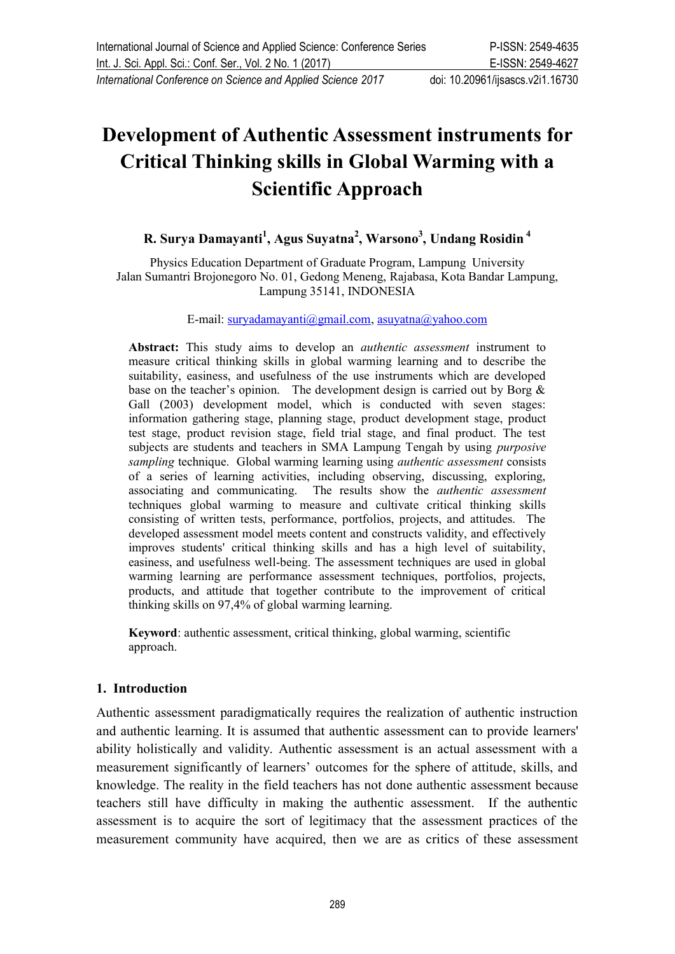# **Development of Authentic Assessment instruments for Critical Thinking skills in Global Warming with a Scientific Approach**

## **R. Surya Damayanti<sup>1</sup> , Agus Suyatna<sup>2</sup> , Warsono<sup>3</sup> , Undang Rosidin <sup>4</sup>**

Physics Education Department of Graduate Program, Lampung University Jalan Sumantri Brojonegoro No. 01, Gedong Meneng, Rajabasa, Kota Bandar Lampung, Lampung 35141, INDONESIA

E-mail: [suryadamayanti@gmail.com](mailto:suryadamayanti@gmail.com), [asuyatna@yahoo.com](mailto:asuyatna@yahoo.com)

**Abstract:** This study aims to develop an *authentic assessment* instrument to measure critical thinking skills in global warming learning and to describe the suitability, easiness, and usefulness of the use instruments which are developed base on the teacher's opinion. The development design is carried out by Borg  $\&$ Gall (2003) development model, which is conducted with seven stages: information gathering stage, planning stage, product development stage, product test stage, product revision stage, field trial stage, and final product. The test subjects are students and teachers in SMA Lampung Tengah by using *purposive sampling* technique. Global warming learning using *authentic assessment* consists of a series of learning activities, including observing, discussing, exploring, associating and communicating. The results show the *authentic assessment* techniques global warming to measure and cultivate critical thinking skills consisting of written tests, performance, portfolios, projects, and attitudes. The developed assessment model meets content and constructs validity, and effectively improves students' critical thinking skills and has a high level of suitability, easiness, and usefulness well-being. The assessment techniques are used in global warming learning are performance assessment techniques, portfolios, projects, products, and attitude that together contribute to the improvement of critical thinking skills on 97,4% of global warming learning.

**Keyword**: authentic assessment, critical thinking, global warming, scientific approach.

#### **1. Introduction**

Authentic assessment paradigmatically requires the realization of authentic instruction and authentic learning. It is assumed that authentic assessment can to provide learners' ability holistically and validity. Authentic assessment is an actual assessment with a measurement significantly of learners' outcomes for the sphere of attitude, skills, and knowledge. The reality in the field teachers has not done authentic assessment because teachers still have difficulty in making the authentic assessment. If the authentic assessment is to acquire the sort of legitimacy that the assessment practices of the measurement community have acquired, then we are as critics of these assessment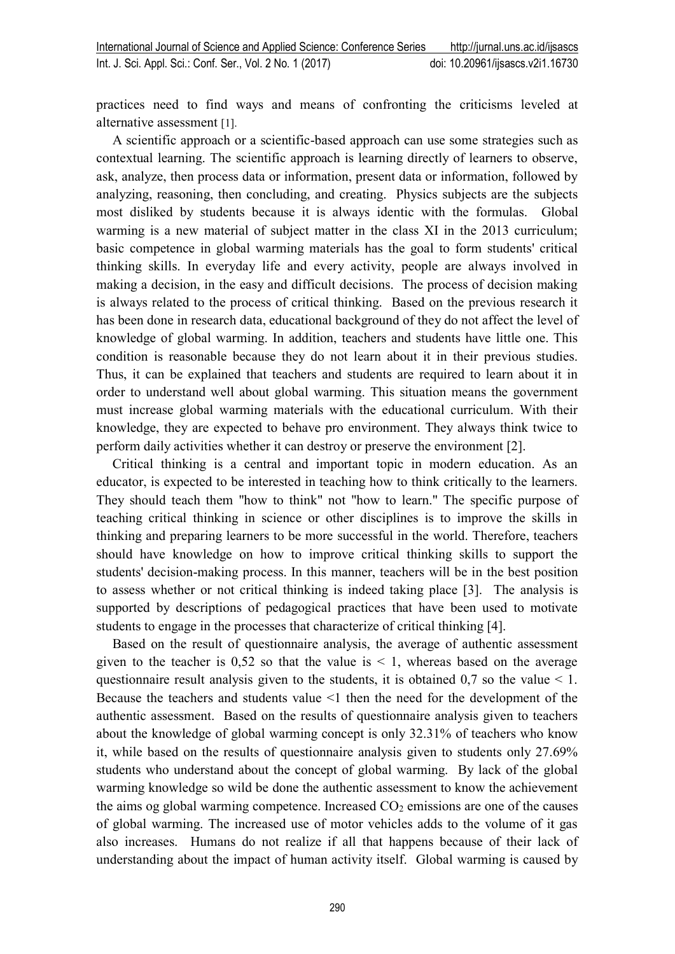practices need to find ways and means of confronting the criticisms leveled at alternative assessment [1].

A scientific approach or a scientific-based approach can use some strategies such as contextual learning. The scientific approach is learning directly of learners to observe, ask, analyze, then process data or information, present data or information, followed by analyzing, reasoning, then concluding, and creating. Physics subjects are the subjects most disliked by students because it is always identic with the formulas. Global warming is a new material of subject matter in the class XI in the 2013 curriculum; basic competence in global warming materials has the goal to form students' critical thinking skills. In everyday life and every activity, people are always involved in making a decision, in the easy and difficult decisions. The process of decision making is always related to the process of critical thinking. Based on the previous research it has been done in research data, educational background of they do not affect the level of knowledge of global warming. In addition, teachers and students have little one. This condition is reasonable because they do not learn about it in their previous studies. Thus, it can be explained that teachers and students are required to learn about it in order to understand well about global warming. This situation means the government must increase global warming materials with the educational curriculum. With their knowledge, they are expected to behave pro environment. They always think twice to perform daily activities whether it can destroy or preserve the environment [2].

Critical thinking is a central and important topic in modern education. As an educator, is expected to be interested in teaching how to think critically to the learners. They should teach them "how to think" not "how to learn." The specific purpose of teaching critical thinking in science or other disciplines is to improve the skills in thinking and preparing learners to be more successful in the world. Therefore, teachers should have knowledge on how to improve critical thinking skills to support the students' decision-making process. In this manner, teachers will be in the best position to assess whether or not critical thinking is indeed taking place [3].The analysis is supported by descriptions of pedagogical practices that have been used to motivate students to engage in the processes that characterize of critical thinking [4].

Based on the result of questionnaire analysis, the average of authentic assessment given to the teacher is  $0,52$  so that the value is  $\leq 1$ , whereas based on the average questionnaire result analysis given to the students, it is obtained  $0.7$  so the value  $\leq 1$ . Because the teachers and students value <1 then the need for the development of the authentic assessment. Based on the results of questionnaire analysis given to teachers about the knowledge of global warming concept is only 32.31% of teachers who know it, while based on the results of questionnaire analysis given to students only 27.69% students who understand about the concept of global warming. By lack of the global warming knowledge so wild be done the authentic assessment to know the achievement the aims og global warming competence. Increased  $CO<sub>2</sub>$  emissions are one of the causes of global warming. The increased use of motor vehicles adds to the volume of it gas also increases. Humans do not realize if all that happens because of their lack of understanding about the impact of human activity itself. Global warming is caused by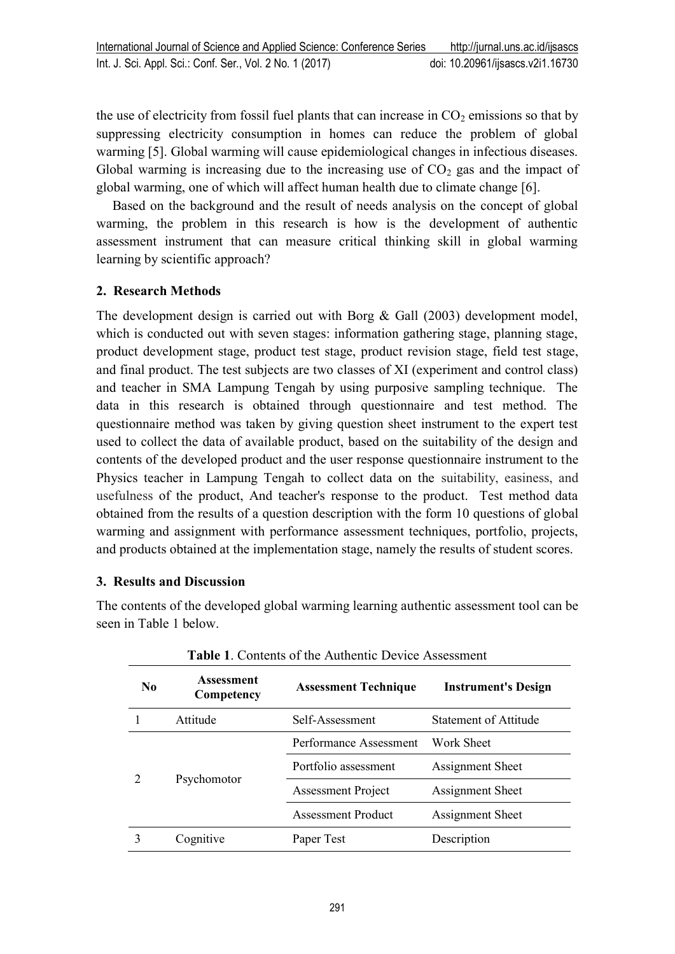the use of electricity from fossil fuel plants that can increase in  $CO<sub>2</sub>$  emissions so that by suppressing electricity consumption in homes can reduce the problem of global warming [5]. Global warming will cause epidemiological changes in infectious diseases. Global warming is increasing due to the increasing use of  $CO<sub>2</sub>$  gas and the impact of global warming, one of which will affect human health due to climate change [6].

Based on the background and the result of needs analysis on the concept of global warming, the problem in this research is how is the development of authentic assessment instrument that can measure critical thinking skill in global warming learning by scientific approach?

## **2. Research Methods**

The development design is carried out with Borg & Gall (2003) development model, which is conducted out with seven stages: information gathering stage, planning stage, product development stage, product test stage, product revision stage, field test stage, and final product. The test subjects are two classes of XI (experiment and control class) and teacher in SMA Lampung Tengah by using purposive sampling technique. The data in this research is obtained through questionnaire and test method. The questionnaire method was taken by giving question sheet instrument to the expert test used to collect the data of available product, based on the suitability of the design and contents of the developed product and the user response questionnaire instrument to the Physics teacher in Lampung Tengah to collect data on the suitability, easiness, and usefulness of the product, And teacher's response to the product. Test method data obtained from the results of a question description with the form 10 questions of global warming and assignment with performance assessment techniques, portfolio, projects, and products obtained at the implementation stage, namely the results of student scores.

## **3. Results and Discussion**

The contents of the developed global warming learning authentic assessment tool can be seen in Table 1 below.

**Table 1**. Contents of the Authentic Device Assessment

| N <sub>0</sub> | <b>Assessment</b><br>Competency | <b>Assessment Technique</b>              | <b>Instrument's Design</b> |
|----------------|---------------------------------|------------------------------------------|----------------------------|
|                | Attitude                        | Statement of Attitude<br>Self-Assessment |                            |
|                | Psychomotor                     | Performance Assessment                   | Work Sheet                 |
|                |                                 | Portfolio assessment                     | Assignment Sheet           |
|                |                                 | <b>Assessment Project</b>                | Assignment Sheet           |
|                |                                 | <b>Assessment Product</b>                | Assignment Sheet           |
|                | Cognitive                       | Paper Test                               | Description                |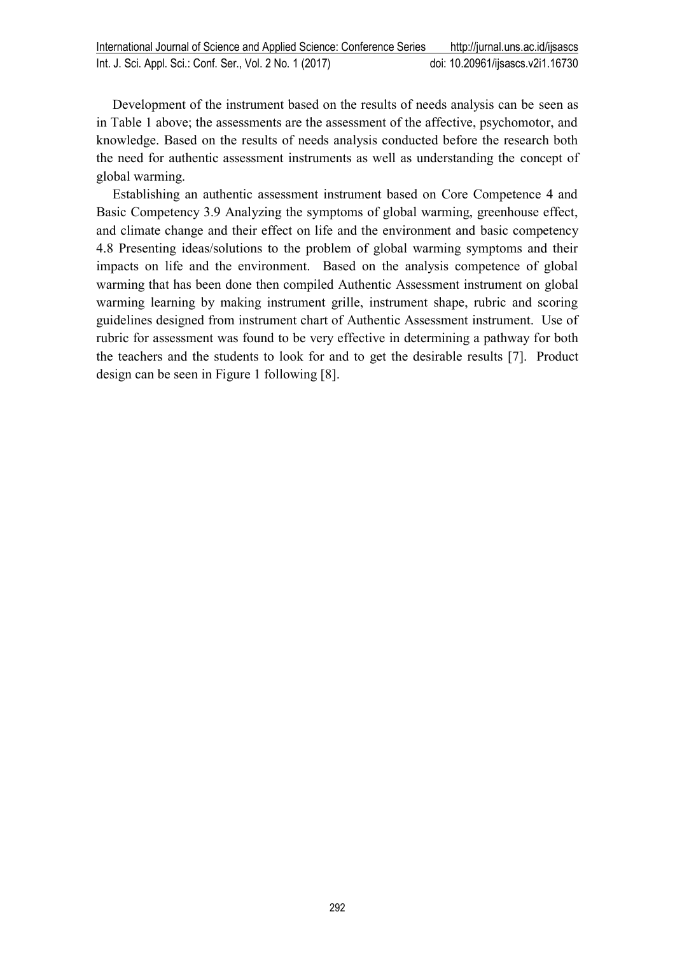Development of the instrument based on the results of needs analysis can be seen as in Table 1 above; the assessments are the assessment of the affective, psychomotor, and knowledge. Based on the results of needs analysis conducted before the research both the need for authentic assessment instruments as well as understanding the concept of global warming.

Establishing an authentic assessment instrument based on Core Competence 4 and Basic Competency 3.9 Analyzing the symptoms of global warming, greenhouse effect, and climate change and their effect on life and the environment and basic competency 4.8 Presenting ideas/solutions to the problem of global warming symptoms and their impacts on life and the environment. Based on the analysis competence of global warming that has been done then compiled Authentic Assessment instrument on global warming learning by making instrument grille, instrument shape, rubric and scoring guidelines designed from instrument chart of Authentic Assessment instrument. Use of rubric for assessment was found to be very effective in determining a pathway for both the teachers and the students to look for and to get the desirable results [7]. Product design can be seen in Figure 1 following [8].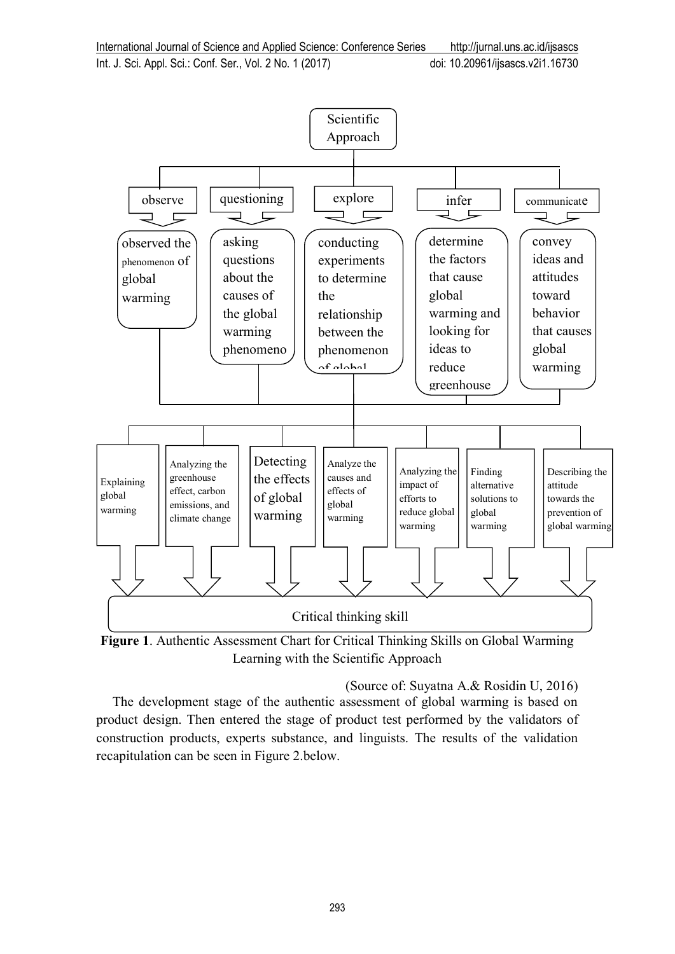Int. J. Sci. Appl. Sci.: Conf. Ser., Vol. 2 No. 1 (2017) doi: [10.20961/ijsascs.v2i1.16730](http://dx.doi.org/10.20961/ijsascs.v2i1.16730)



**Figure 1**. Authentic Assessment Chart for Critical Thinking Skills on Global Warming Learning with the Scientific Approach

(Source of: Suyatna A.& Rosidin U, 2016) The development stage of the authentic assessment of global warming is based on product design. Then entered the stage of product test performed by the validators of construction products, experts substance, and linguists. The results of the validation recapitulation can be seen in Figure 2.below.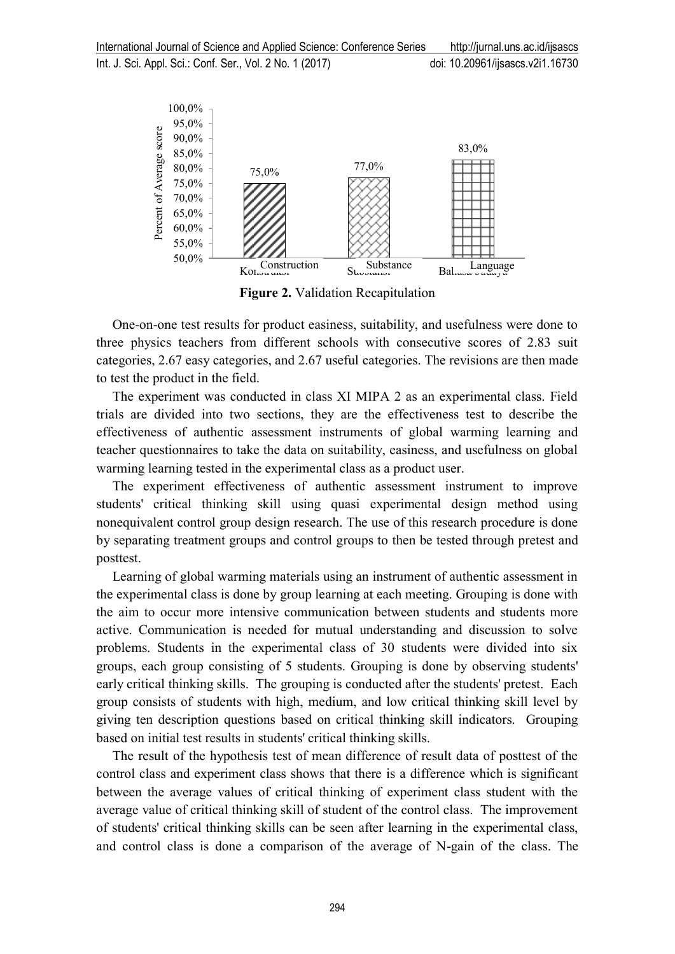

**Figure 2.** Validation Recapitulation

One-on-one test results for product easiness, suitability, and usefulness were done to three physics teachers from different schools with consecutive scores of 2.83 suit categories, 2.67 easy categories, and 2.67 useful categories. The revisions are then made to test the product in the field.

The experiment was conducted in class XI MIPA 2 as an experimental class. Field trials are divided into two sections, they are the effectiveness test to describe the effectiveness of authentic assessment instruments of global warming learning and teacher questionnaires to take the data on suitability, easiness, and usefulness on global warming learning tested in the experimental class as a product user.

The experiment effectiveness of authentic assessment instrument to improve students' critical thinking skill using quasi experimental design method using nonequivalent control group design research. The use of this research procedure is done by separating treatment groups and control groups to then be tested through pretest and posttest.

Learning of global warming materials using an instrument of authentic assessment in the experimental class is done by group learning at each meeting. Grouping is done with the aim to occur more intensive communication between students and students more active. Communication is needed for mutual understanding and discussion to solve problems. Students in the experimental class of 30 students were divided into six groups, each group consisting of 5 students. Grouping is done by observing students' early critical thinking skills. The grouping is conducted after the students' pretest. Each group consists of students with high, medium, and low critical thinking skill level by giving ten description questions based on critical thinking skill indicators. Grouping based on initial test results in students' critical thinking skills.

The result of the hypothesis test of mean difference of result data of posttest of the control class and experiment class shows that there is a difference which is significant between the average values of critical thinking of experiment class student with the average value of critical thinking skill of student of the control class. The improvement of students' critical thinking skills can be seen after learning in the experimental class, and control class is done a comparison of the average of N-gain of the class. The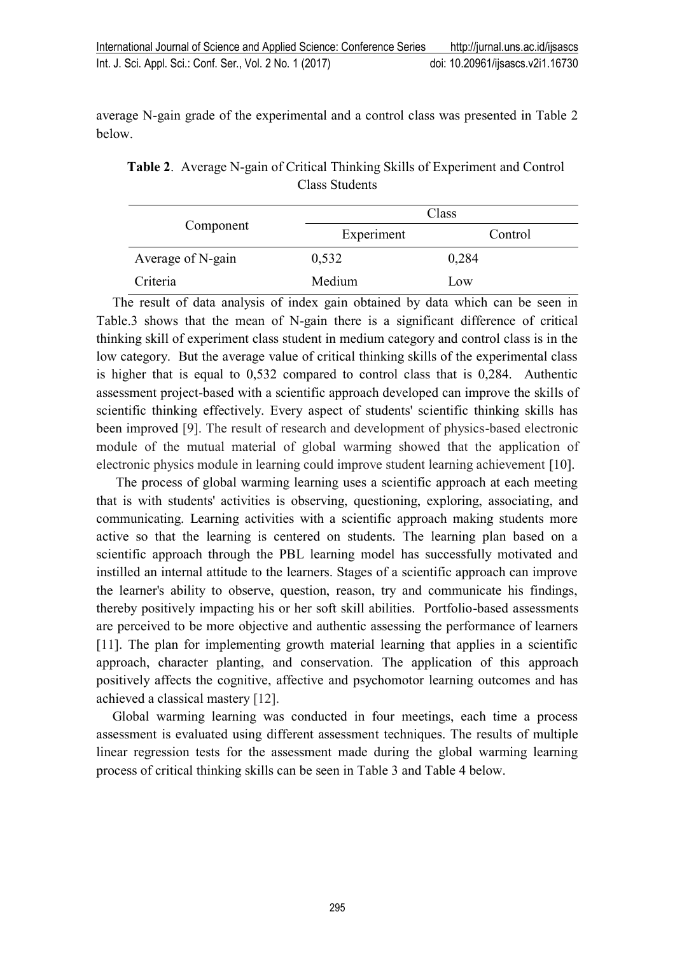average N-gain grade of the experimental and a control class was presented in Table 2 below.

| Table 2. Average N-gain of Critical Thinking Skills of Experiment and Control |
|-------------------------------------------------------------------------------|
| Class Students                                                                |

|                   | Class      |         |  |
|-------------------|------------|---------|--|
| Component         | Experiment | Control |  |
| Average of N-gain | 0,532      | 0,284   |  |
| Criteria          | Medium     | Low     |  |

The result of data analysis of index gain obtained by data which can be seen in Table.3 shows that the mean of N-gain there is a significant difference of critical thinking skill of experiment class student in medium category and control class is in the low category. But the average value of critical thinking skills of the experimental class is higher that is equal to 0,532 compared to control class that is 0,284. Authentic assessment project-based with a scientific approach developed can improve the skills of scientific thinking effectively. Every aspect of students' scientific thinking skills has been improved [9]. The result of research and development of physics-based electronic module of the mutual material of global warming showed that the application of electronic physics module in learning could improve student learning achievement [10].

The process of global warming learning uses a scientific approach at each meeting that is with students' activities is observing, questioning, exploring, associating, and communicating. Learning activities with a scientific approach making students more active so that the learning is centered on students. The learning plan based on a scientific approach through the PBL learning model has successfully motivated and instilled an internal attitude to the learners. Stages of a scientific approach can improve the learner's ability to observe, question, reason, try and communicate his findings, thereby positively impacting his or her soft skill abilities. Portfolio-based assessments are perceived to be more objective and authentic assessing the performance of learners [11]. The plan for implementing growth material learning that applies in a scientific approach, character planting, and conservation. The application of this approach positively affects the cognitive, affective and psychomotor learning outcomes and has achieved a classical mastery [12].

Global warming learning was conducted in four meetings, each time a process assessment is evaluated using different assessment techniques. The results of multiple linear regression tests for the assessment made during the global warming learning process of critical thinking skills can be seen in Table 3 and Table 4 below.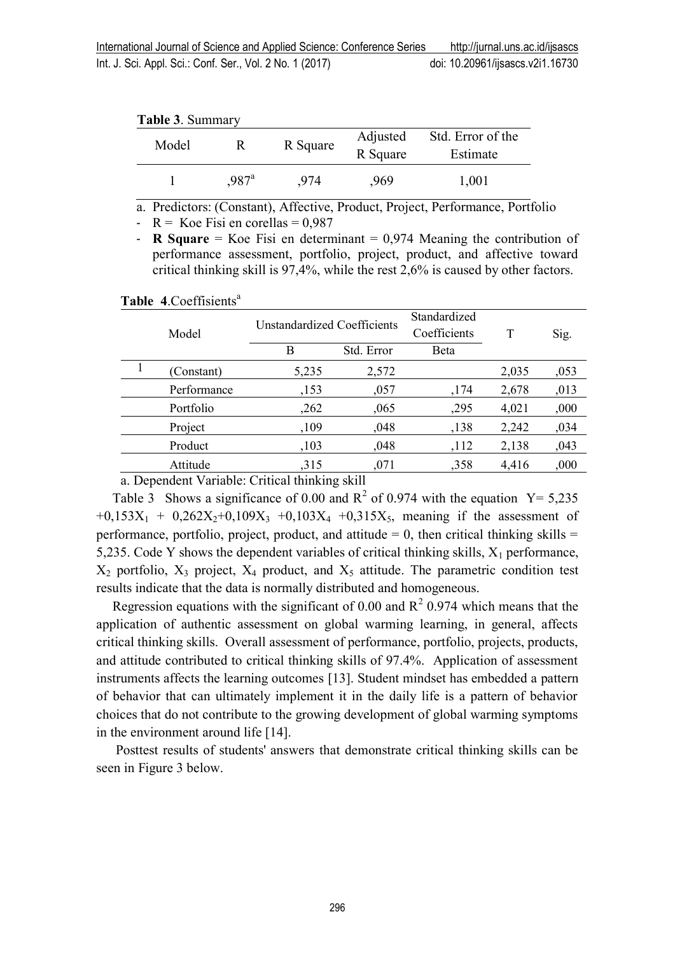|  | <b>Table 3. Summary</b> |
|--|-------------------------|
|--|-------------------------|

| Model |                     | R Square | Adjusted<br>R Square | Std. Error of the<br>Estimate |
|-------|---------------------|----------|----------------------|-------------------------------|
|       | $.987$ <sup>a</sup> | 974      | ,969                 | 1,001                         |

a. Predictors: (Constant), Affective, Product, Project, Performance, Portfolio

-  $R = Koe Fisi en corellas = 0.987$ 

- **R Square** = Koe Fisi en determinant =  $0.974$  Meaning the contribution of performance assessment, portfolio, project, product, and affective toward critical thinking skill is 97,4%, while the rest 2,6% is caused by other factors.

Table 4.Coeffisients<sup>a</sup>

| Model |             | Unstandardized Coefficients |            | Standardized<br>Coefficients | T     | Sig. |
|-------|-------------|-----------------------------|------------|------------------------------|-------|------|
|       |             | В                           | Std. Error | Beta                         |       |      |
| 1     | (Constant)  | 5,235                       | 2,572      |                              | 2,035 | ,053 |
|       | Performance | ,153                        | ,057       | ,174                         | 2,678 | ,013 |
|       | Portfolio   | ,262                        | ,065       | ,295                         | 4,021 | ,000 |
|       | Project     | ,109                        | ,048       | ,138                         | 2,242 | ,034 |
|       | Product     | ,103                        | ,048       | ,112                         | 2,138 | ,043 |
|       | Attitude    | 315                         | ,071       | ,358                         | 4,416 | ,000 |
|       |             |                             |            |                              |       |      |

a. Dependent Variable: Critical thinking skill

Table 3 Shows a significance of 0.00 and  $R^2$  of 0.974 with the equation  $Y = 5,235$  $+0.153X_1 + 0.262X_2 + 0.109X_3 + 0.103X_4 + 0.315X_5$ , meaning if the assessment of performance, portfolio, project, product, and attitude  $= 0$ , then critical thinking skills  $=$ 5,235. Code Y shows the dependent variables of critical thinking skills,  $X_1$  performance,  $X_2$  portfolio,  $X_3$  project,  $X_4$  product, and  $X_5$  attitude. The parametric condition test results indicate that the data is normally distributed and homogeneous.

Regression equations with the significant of 0.00 and  $R^2$  0.974 which means that the application of authentic assessment on global warming learning, in general, affects critical thinking skills. Overall assessment of performance, portfolio, projects, products, and attitude contributed to critical thinking skills of 97.4%. Application of assessment instruments affects the learning outcomes [13]. Student mindset has embedded a pattern of behavior that can ultimately implement it in the daily life is a pattern of behavior choices that do not contribute to the growing development of global warming symptoms in the environment around life [14].

Posttest results of students' answers that demonstrate critical thinking skills can be seen in Figure 3 below.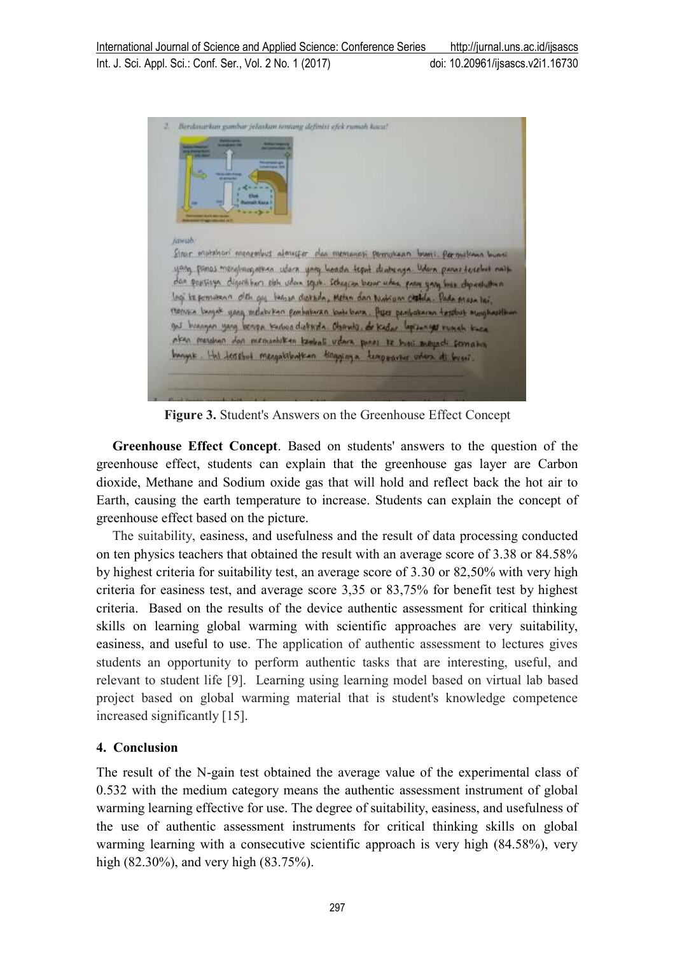| јанић. |                                                                                                                                                                                                                                                                    |
|--------|--------------------------------------------------------------------------------------------------------------------------------------------------------------------------------------------------------------------------------------------------------------------|
|        | Sinor mutahori menembus almosfer dan memanasi permutaan bumi. Permakana buani<br>yang panas menghangnikan udara yang berada teput dinternya Udara panas terebut nath<br>dan popitizya. digirihkara oleh udan seguh. Sebagian bezar udan para yang besa dipantuttan |
|        | logi la pomusano oleh guj lagoso diperda, Metan dan Nation chatda. Pada prosa lai.                                                                                                                                                                                 |
|        | monisis beignt yong indutering pembaturan kode bara. Aya pembakanan terdhist monghasillem<br>gos buengan yang berupa terbua diokarda. Observis, de kedar lapisangas rumah taca                                                                                     |
|        | aken mendena dan memantukan kembali udara panas te buni menjadi somativa                                                                                                                                                                                           |
|        | bungat. Hul trasbut mengatibatkan tingginya temporarer udara di bucci.                                                                                                                                                                                             |

**Figure 3.** Student's Answers on the Greenhouse Effect Concept

**Greenhouse Effect Concept**. Based on students' answers to the question of the greenhouse effect, students can explain that the greenhouse gas layer are Carbon dioxide, Methane and Sodium oxide gas that will hold and reflect back the hot air to Earth, causing the earth temperature to increase. Students can explain the concept of greenhouse effect based on the picture.

The suitability, easiness, and usefulness and the result of data processing conducted on ten physics teachers that obtained the result with an average score of 3.38 or 84.58% by highest criteria for suitability test, an average score of 3.30 or 82,50% with very high criteria for easiness test, and average score 3,35 or 83,75% for benefit test by highest criteria. Based on the results of the device authentic assessment for critical thinking skills on learning global warming with scientific approaches are very suitability, easiness, and useful to use. The application of authentic assessment to lectures gives students an opportunity to perform authentic tasks that are interesting, useful, and relevant to student life [9]. Learning using learning model based on virtual lab based project based on global warming material that is student's knowledge competence increased significantly [15].

## **4. Conclusion**

The result of the N-gain test obtained the average value of the experimental class of 0.532 with the medium category means the authentic assessment instrument of global warming learning effective for use. The degree of suitability, easiness, and usefulness of the use of authentic assessment instruments for critical thinking skills on global warming learning with a consecutive scientific approach is very high (84.58%), very high (82.30%), and very high (83.75%).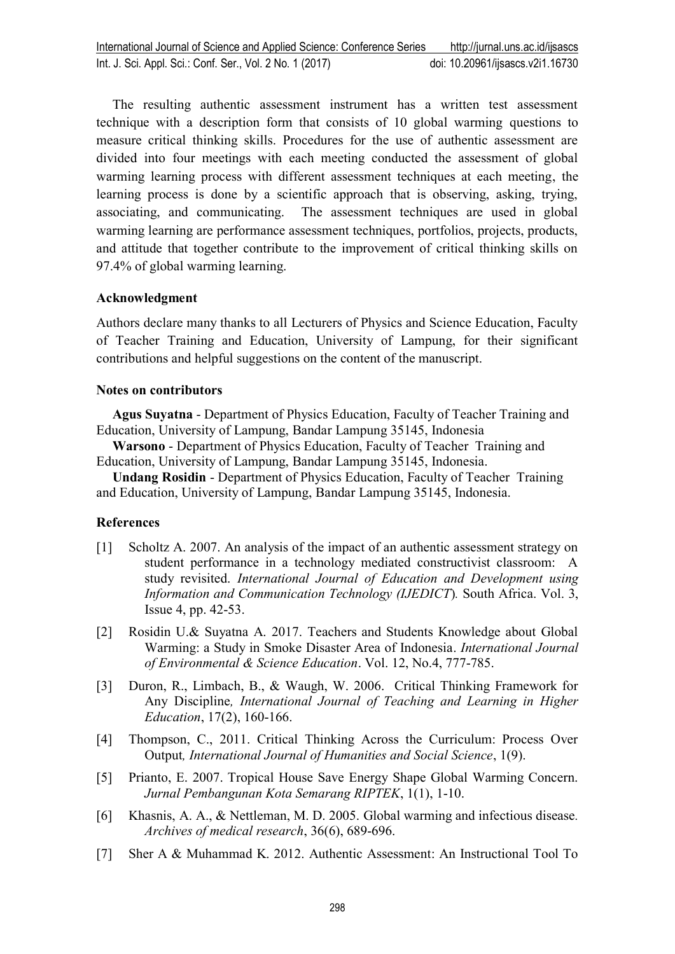The resulting authentic assessment instrument has a written test assessment technique with a description form that consists of 10 global warming questions to measure critical thinking skills. Procedures for the use of authentic assessment are divided into four meetings with each meeting conducted the assessment of global warming learning process with different assessment techniques at each meeting, the learning process is done by a scientific approach that is observing, asking, trying, associating, and communicating. The assessment techniques are used in global warming learning are performance assessment techniques, portfolios, projects, products, and attitude that together contribute to the improvement of critical thinking skills on 97.4% of global warming learning.

### **Acknowledgment**

Authors declare many thanks to all Lecturers of Physics and Science Education, Faculty of Teacher Training and Education, University of Lampung, for their significant contributions and helpful suggestions on the content of the manuscript.

### **Notes on contributors**

**Agus Suyatna** - Department of Physics Education, Faculty of Teacher Training and Education, University of Lampung, Bandar Lampung 35145, Indonesia

**Warsono** - Department of Physics Education, Faculty of Teacher Training and Education, University of Lampung, Bandar Lampung 35145, Indonesia.

**Undang Rosidin** - Department of Physics Education, Faculty of Teacher Training and Education, University of Lampung, Bandar Lampung 35145, Indonesia.

#### **References**

- [1] Scholtz A. 2007. An analysis of the impact of an authentic assessment strategy on student performance in a technology mediated constructivist classroom: A study revisited. *International Journal of Education and Development using Information and Communication Technology (IJEDICT*)*.* South Africa. Vol. 3, Issue 4, pp. 42-53.
- [2] Rosidin U.& Suyatna A. 2017. Teachers and Students Knowledge about Global Warming: a Study in Smoke Disaster Area of Indonesia. *International Journal of Environmental & Science Education*. Vol. 12, No.4, 777-785.
- [3] Duron, R., Limbach, B., & Waugh, W. 2006. Critical Thinking Framework for Any Discipline*, International Journal of Teaching and Learning in Higher Education*, 17(2), 160-166.
- [4] Thompson, C., 2011. Critical Thinking Across the Curriculum: Process Over Output*, International Journal of Humanities and Social Science*, 1(9).
- [5] Prianto, E. 2007. Tropical House Save Energy Shape Global Warming Concern. *Jurnal Pembangunan Kota Semarang RIPTEK*, 1(1), 1-10.
- [6] Khasnis, A. A., & Nettleman, M. D. 2005. Global warming and infectious disease*. Archives of medical research*, 36(6), 689-696.
- [7] Sher A & Muhammad K. 2012. Authentic Assessment: An Instructional Tool To